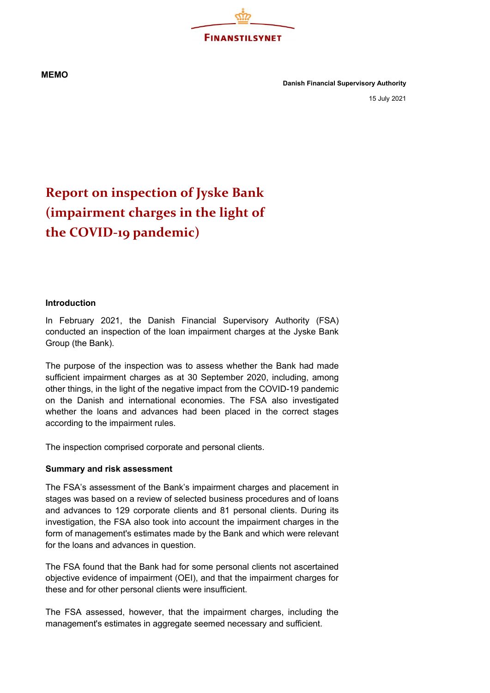**FINANSTILSYNET** 

**MEMO**

**Danish Financial Supervisory Authority**

15 July 2021

## **Report on inspection of Jyske Bank (impairment charges in the light of the COVID-19 pandemic)**

## **Introduction**

In February 2021, the Danish Financial Supervisory Authority (FSA) conducted an inspection of the loan impairment charges at the Jyske Bank Group (the Bank).

The purpose of the inspection was to assess whether the Bank had made sufficient impairment charges as at 30 September 2020, including, among other things, in the light of the negative impact from the COVID-19 pandemic on the Danish and international economies. The FSA also investigated whether the loans and advances had been placed in the correct stages according to the impairment rules.

The inspection comprised corporate and personal clients.

## **Summary and risk assessment**

The FSA's assessment of the Bank's impairment charges and placement in stages was based on a review of selected business procedures and of loans and advances to 129 corporate clients and 81 personal clients. During its investigation, the FSA also took into account the impairment charges in the form of management's estimates made by the Bank and which were relevant for the loans and advances in question.

The FSA found that the Bank had for some personal clients not ascertained objective evidence of impairment (OEI), and that the impairment charges for these and for other personal clients were insufficient.

The FSA assessed, however, that the impairment charges, including the management's estimates in aggregate seemed necessary and sufficient.